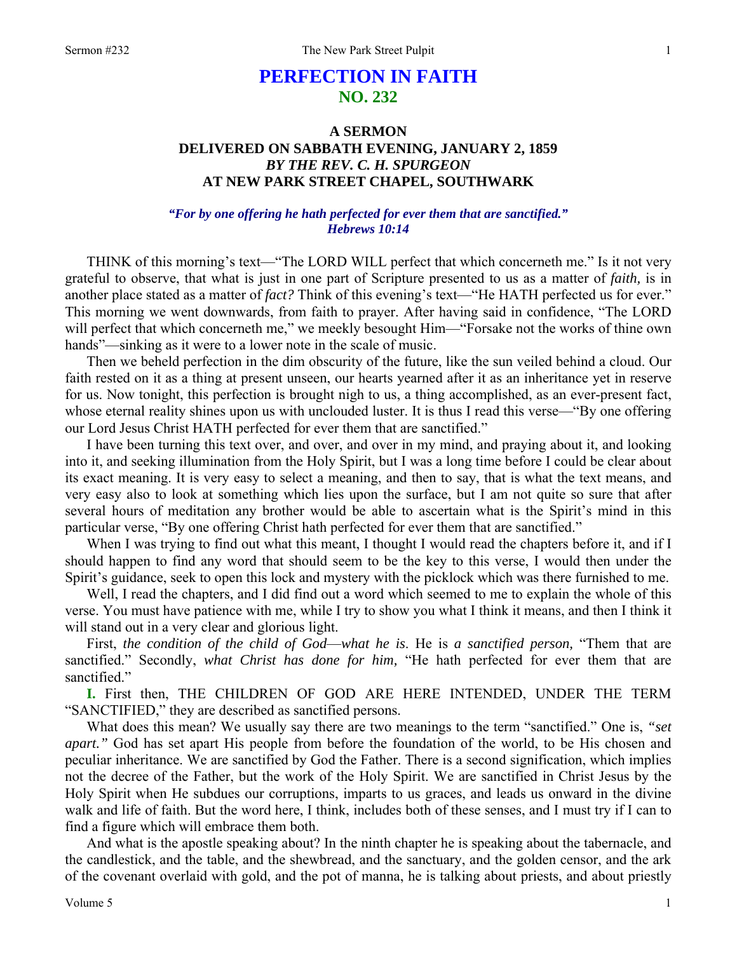# **PERFECTION IN FAITH NO. 232**

# **A SERMON DELIVERED ON SABBATH EVENING, JANUARY 2, 1859**  *BY THE REV. C. H. SPURGEON*  **AT NEW PARK STREET CHAPEL, SOUTHWARK**

# *"For by one offering he hath perfected for ever them that are sanctified." Hebrews 10:14*

THINK of this morning's text—"The LORD WILL perfect that which concerneth me." Is it not very grateful to observe, that what is just in one part of Scripture presented to us as a matter of *faith,* is in another place stated as a matter of *fact?* Think of this evening's text—"He HATH perfected us for ever." This morning we went downwards, from faith to prayer. After having said in confidence, "The LORD will perfect that which concerneth me," we meekly besought Him—"Forsake not the works of thine own hands"—sinking as it were to a lower note in the scale of music.

Then we beheld perfection in the dim obscurity of the future, like the sun veiled behind a cloud. Our faith rested on it as a thing at present unseen, our hearts yearned after it as an inheritance yet in reserve for us. Now tonight, this perfection is brought nigh to us, a thing accomplished, as an ever-present fact, whose eternal reality shines upon us with unclouded luster. It is thus I read this verse—"By one offering our Lord Jesus Christ HATH perfected for ever them that are sanctified."

I have been turning this text over, and over, and over in my mind, and praying about it, and looking into it, and seeking illumination from the Holy Spirit, but I was a long time before I could be clear about its exact meaning. It is very easy to select a meaning, and then to say, that is what the text means, and very easy also to look at something which lies upon the surface, but I am not quite so sure that after several hours of meditation any brother would be able to ascertain what is the Spirit's mind in this particular verse, "By one offering Christ hath perfected for ever them that are sanctified."

When I was trying to find out what this meant, I thought I would read the chapters before it, and if I should happen to find any word that should seem to be the key to this verse, I would then under the Spirit's guidance, seek to open this lock and mystery with the picklock which was there furnished to me.

Well, I read the chapters, and I did find out a word which seemed to me to explain the whole of this verse. You must have patience with me, while I try to show you what I think it means, and then I think it will stand out in a very clear and glorious light.

First, *the condition of the child of God*—*what he is*. He is *a sanctified person,* "Them that are sanctified." Secondly, *what Christ has done for him,* "He hath perfected for ever them that are sanctified."

**I.** First then, THE CHILDREN OF GOD ARE HERE INTENDED, UNDER THE TERM "SANCTIFIED," they are described as sanctified persons.

What does this mean? We usually say there are two meanings to the term "sanctified." One is, *"set apart."* God has set apart His people from before the foundation of the world, to be His chosen and peculiar inheritance. We are sanctified by God the Father. There is a second signification, which implies not the decree of the Father, but the work of the Holy Spirit. We are sanctified in Christ Jesus by the Holy Spirit when He subdues our corruptions, imparts to us graces, and leads us onward in the divine walk and life of faith. But the word here, I think, includes both of these senses, and I must try if I can to find a figure which will embrace them both.

And what is the apostle speaking about? In the ninth chapter he is speaking about the tabernacle, and the candlestick, and the table, and the shewbread, and the sanctuary, and the golden censor, and the ark of the covenant overlaid with gold, and the pot of manna, he is talking about priests, and about priestly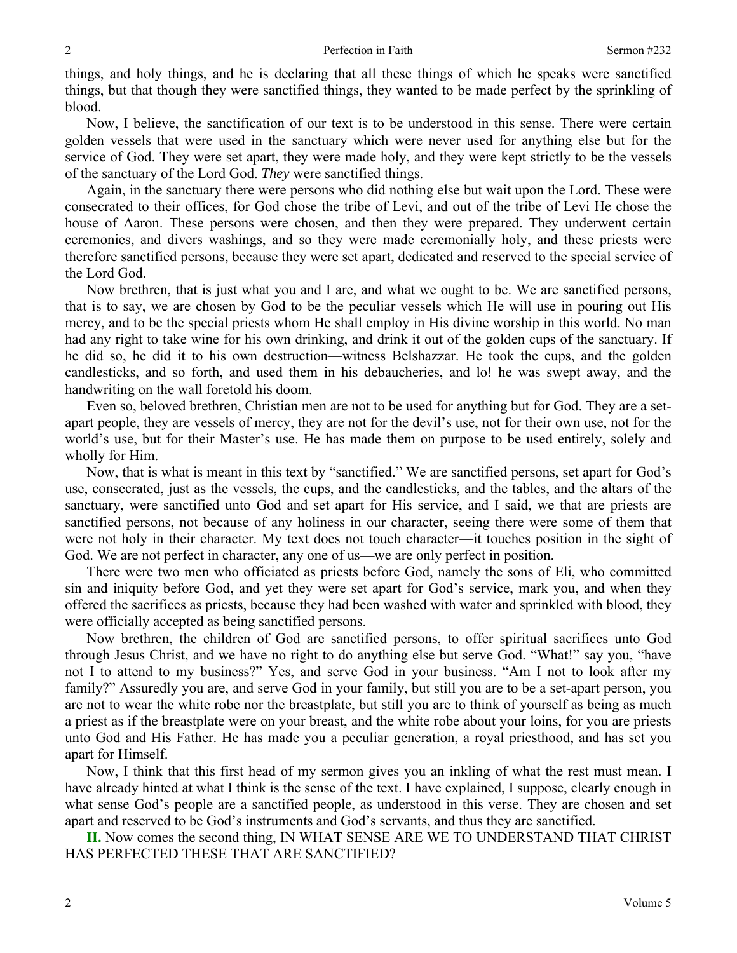things, and holy things, and he is declaring that all these things of which he speaks were sanctified things, but that though they were sanctified things, they wanted to be made perfect by the sprinkling of blood.

Now, I believe, the sanctification of our text is to be understood in this sense. There were certain golden vessels that were used in the sanctuary which were never used for anything else but for the service of God. They were set apart, they were made holy, and they were kept strictly to be the vessels of the sanctuary of the Lord God. *They* were sanctified things.

Again, in the sanctuary there were persons who did nothing else but wait upon the Lord. These were consecrated to their offices, for God chose the tribe of Levi, and out of the tribe of Levi He chose the house of Aaron. These persons were chosen, and then they were prepared. They underwent certain ceremonies, and divers washings, and so they were made ceremonially holy, and these priests were therefore sanctified persons, because they were set apart, dedicated and reserved to the special service of the Lord God.

Now brethren, that is just what you and I are, and what we ought to be. We are sanctified persons, that is to say, we are chosen by God to be the peculiar vessels which He will use in pouring out His mercy, and to be the special priests whom He shall employ in His divine worship in this world. No man had any right to take wine for his own drinking, and drink it out of the golden cups of the sanctuary. If he did so, he did it to his own destruction—witness Belshazzar. He took the cups, and the golden candlesticks, and so forth, and used them in his debaucheries, and lo! he was swept away, and the handwriting on the wall foretold his doom.

Even so, beloved brethren, Christian men are not to be used for anything but for God. They are a setapart people, they are vessels of mercy, they are not for the devil's use, not for their own use, not for the world's use, but for their Master's use. He has made them on purpose to be used entirely, solely and wholly for Him.

Now, that is what is meant in this text by "sanctified." We are sanctified persons, set apart for God's use, consecrated, just as the vessels, the cups, and the candlesticks, and the tables, and the altars of the sanctuary, were sanctified unto God and set apart for His service, and I said, we that are priests are sanctified persons, not because of any holiness in our character, seeing there were some of them that were not holy in their character. My text does not touch character—it touches position in the sight of God. We are not perfect in character, any one of us—we are only perfect in position.

There were two men who officiated as priests before God, namely the sons of Eli, who committed sin and iniquity before God, and yet they were set apart for God's service, mark you, and when they offered the sacrifices as priests, because they had been washed with water and sprinkled with blood, they were officially accepted as being sanctified persons.

Now brethren, the children of God are sanctified persons, to offer spiritual sacrifices unto God through Jesus Christ, and we have no right to do anything else but serve God. "What!" say you, "have not I to attend to my business?" Yes, and serve God in your business. "Am I not to look after my family?" Assuredly you are, and serve God in your family, but still you are to be a set-apart person, you are not to wear the white robe nor the breastplate, but still you are to think of yourself as being as much a priest as if the breastplate were on your breast, and the white robe about your loins, for you are priests unto God and His Father. He has made you a peculiar generation, a royal priesthood, and has set you apart for Himself.

Now, I think that this first head of my sermon gives you an inkling of what the rest must mean. I have already hinted at what I think is the sense of the text. I have explained, I suppose, clearly enough in what sense God's people are a sanctified people, as understood in this verse. They are chosen and set apart and reserved to be God's instruments and God's servants, and thus they are sanctified.

**II.** Now comes the second thing, IN WHAT SENSE ARE WE TO UNDERSTAND THAT CHRIST HAS PERFECTED THESE THAT ARE SANCTIFIED?

2

2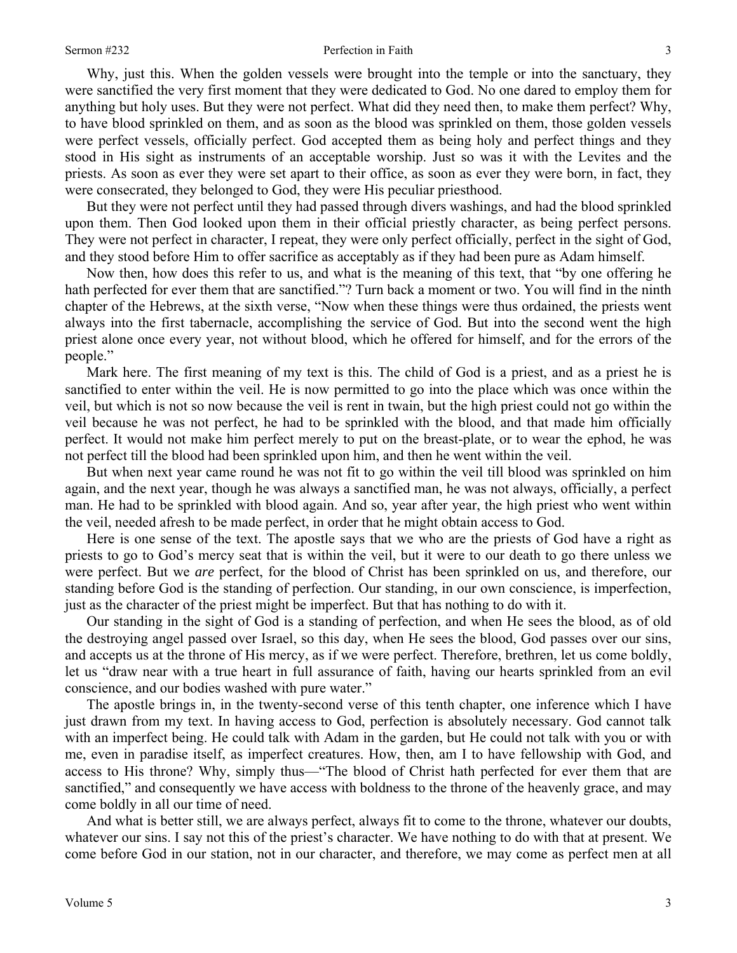#### Sermon #232 Perfection in Faith

Why, just this. When the golden vessels were brought into the temple or into the sanctuary, they were sanctified the very first moment that they were dedicated to God. No one dared to employ them for anything but holy uses. But they were not perfect. What did they need then, to make them perfect? Why, to have blood sprinkled on them, and as soon as the blood was sprinkled on them, those golden vessels were perfect vessels, officially perfect. God accepted them as being holy and perfect things and they stood in His sight as instruments of an acceptable worship. Just so was it with the Levites and the priests. As soon as ever they were set apart to their office, as soon as ever they were born, in fact, they were consecrated, they belonged to God, they were His peculiar priesthood.

But they were not perfect until they had passed through divers washings, and had the blood sprinkled upon them. Then God looked upon them in their official priestly character, as being perfect persons. They were not perfect in character, I repeat, they were only perfect officially, perfect in the sight of God, and they stood before Him to offer sacrifice as acceptably as if they had been pure as Adam himself.

Now then, how does this refer to us, and what is the meaning of this text, that "by one offering he hath perfected for ever them that are sanctified."? Turn back a moment or two. You will find in the ninth chapter of the Hebrews, at the sixth verse, "Now when these things were thus ordained, the priests went always into the first tabernacle, accomplishing the service of God. But into the second went the high priest alone once every year, not without blood, which he offered for himself, and for the errors of the people."

Mark here. The first meaning of my text is this. The child of God is a priest, and as a priest he is sanctified to enter within the veil. He is now permitted to go into the place which was once within the veil, but which is not so now because the veil is rent in twain, but the high priest could not go within the veil because he was not perfect, he had to be sprinkled with the blood, and that made him officially perfect. It would not make him perfect merely to put on the breast-plate, or to wear the ephod, he was not perfect till the blood had been sprinkled upon him, and then he went within the veil.

But when next year came round he was not fit to go within the veil till blood was sprinkled on him again, and the next year, though he was always a sanctified man, he was not always, officially, a perfect man. He had to be sprinkled with blood again. And so, year after year, the high priest who went within the veil, needed afresh to be made perfect, in order that he might obtain access to God.

Here is one sense of the text. The apostle says that we who are the priests of God have a right as priests to go to God's mercy seat that is within the veil, but it were to our death to go there unless we were perfect. But we *are* perfect, for the blood of Christ has been sprinkled on us, and therefore, our standing before God is the standing of perfection. Our standing, in our own conscience, is imperfection, just as the character of the priest might be imperfect. But that has nothing to do with it.

Our standing in the sight of God is a standing of perfection, and when He sees the blood, as of old the destroying angel passed over Israel, so this day, when He sees the blood, God passes over our sins, and accepts us at the throne of His mercy, as if we were perfect. Therefore, brethren, let us come boldly, let us "draw near with a true heart in full assurance of faith, having our hearts sprinkled from an evil conscience, and our bodies washed with pure water."

The apostle brings in, in the twenty-second verse of this tenth chapter, one inference which I have just drawn from my text. In having access to God, perfection is absolutely necessary. God cannot talk with an imperfect being. He could talk with Adam in the garden, but He could not talk with you or with me, even in paradise itself, as imperfect creatures. How, then, am I to have fellowship with God, and access to His throne? Why, simply thus—"The blood of Christ hath perfected for ever them that are sanctified," and consequently we have access with boldness to the throne of the heavenly grace, and may come boldly in all our time of need.

And what is better still, we are always perfect, always fit to come to the throne, whatever our doubts, whatever our sins. I say not this of the priest's character. We have nothing to do with that at present. We come before God in our station, not in our character, and therefore, we may come as perfect men at all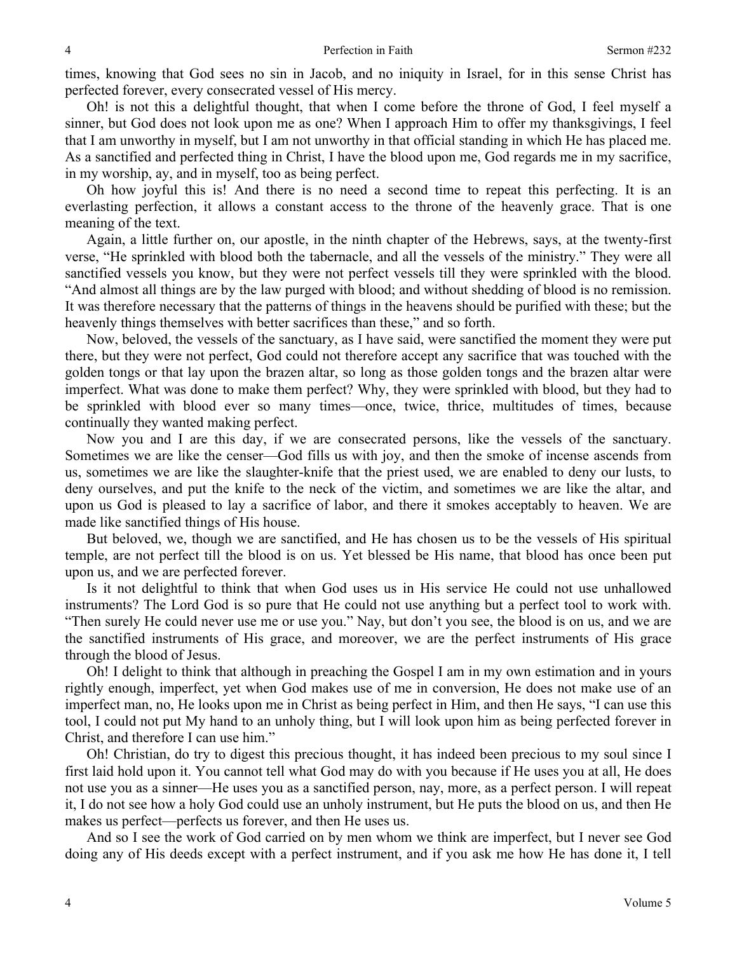times, knowing that God sees no sin in Jacob, and no iniquity in Israel, for in this sense Christ has perfected forever, every consecrated vessel of His mercy.

Oh! is not this a delightful thought, that when I come before the throne of God, I feel myself a sinner, but God does not look upon me as one? When I approach Him to offer my thanksgivings, I feel that I am unworthy in myself, but I am not unworthy in that official standing in which He has placed me. As a sanctified and perfected thing in Christ, I have the blood upon me, God regards me in my sacrifice, in my worship, ay, and in myself, too as being perfect.

Oh how joyful this is! And there is no need a second time to repeat this perfecting. It is an everlasting perfection, it allows a constant access to the throne of the heavenly grace. That is one meaning of the text.

Again, a little further on, our apostle, in the ninth chapter of the Hebrews, says, at the twenty-first verse, "He sprinkled with blood both the tabernacle, and all the vessels of the ministry." They were all sanctified vessels you know, but they were not perfect vessels till they were sprinkled with the blood. "And almost all things are by the law purged with blood; and without shedding of blood is no remission. It was therefore necessary that the patterns of things in the heavens should be purified with these; but the heavenly things themselves with better sacrifices than these," and so forth.

Now, beloved, the vessels of the sanctuary, as I have said, were sanctified the moment they were put there, but they were not perfect, God could not therefore accept any sacrifice that was touched with the golden tongs or that lay upon the brazen altar, so long as those golden tongs and the brazen altar were imperfect. What was done to make them perfect? Why, they were sprinkled with blood, but they had to be sprinkled with blood ever so many times—once, twice, thrice, multitudes of times, because continually they wanted making perfect.

Now you and I are this day, if we are consecrated persons, like the vessels of the sanctuary. Sometimes we are like the censer—God fills us with joy, and then the smoke of incense ascends from us, sometimes we are like the slaughter-knife that the priest used, we are enabled to deny our lusts, to deny ourselves, and put the knife to the neck of the victim, and sometimes we are like the altar, and upon us God is pleased to lay a sacrifice of labor, and there it smokes acceptably to heaven. We are made like sanctified things of His house.

But beloved, we, though we are sanctified, and He has chosen us to be the vessels of His spiritual temple, are not perfect till the blood is on us. Yet blessed be His name, that blood has once been put upon us, and we are perfected forever.

Is it not delightful to think that when God uses us in His service He could not use unhallowed instruments? The Lord God is so pure that He could not use anything but a perfect tool to work with. "Then surely He could never use me or use you." Nay, but don't you see, the blood is on us, and we are the sanctified instruments of His grace, and moreover, we are the perfect instruments of His grace through the blood of Jesus.

Oh! I delight to think that although in preaching the Gospel I am in my own estimation and in yours rightly enough, imperfect, yet when God makes use of me in conversion, He does not make use of an imperfect man, no, He looks upon me in Christ as being perfect in Him, and then He says, "I can use this tool, I could not put My hand to an unholy thing, but I will look upon him as being perfected forever in Christ, and therefore I can use him."

Oh! Christian, do try to digest this precious thought, it has indeed been precious to my soul since I first laid hold upon it. You cannot tell what God may do with you because if He uses you at all, He does not use you as a sinner—He uses you as a sanctified person, nay, more, as a perfect person. I will repeat it, I do not see how a holy God could use an unholy instrument, but He puts the blood on us, and then He makes us perfect—perfects us forever, and then He uses us.

And so I see the work of God carried on by men whom we think are imperfect, but I never see God doing any of His deeds except with a perfect instrument, and if you ask me how He has done it, I tell

4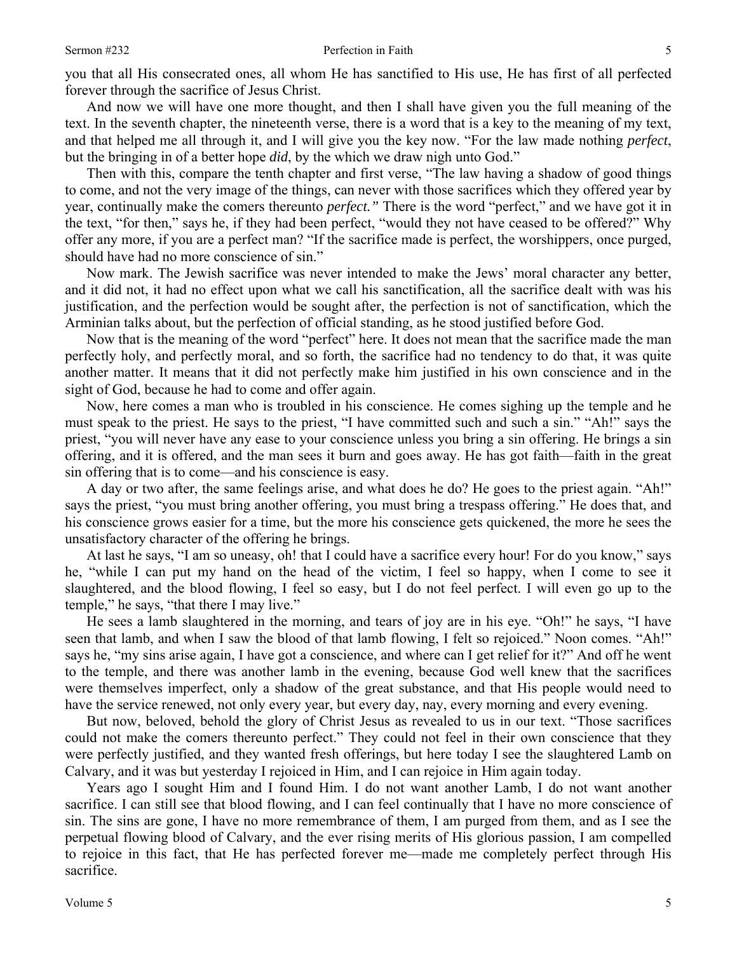you that all His consecrated ones, all whom He has sanctified to His use, He has first of all perfected forever through the sacrifice of Jesus Christ.

And now we will have one more thought, and then I shall have given you the full meaning of the text. In the seventh chapter, the nineteenth verse, there is a word that is a key to the meaning of my text, and that helped me all through it, and I will give you the key now. "For the law made nothing *perfect*, but the bringing in of a better hope *did*, by the which we draw nigh unto God."

Then with this, compare the tenth chapter and first verse, "The law having a shadow of good things to come, and not the very image of the things, can never with those sacrifices which they offered year by year, continually make the comers thereunto *perfect."* There is the word "perfect," and we have got it in the text, "for then," says he, if they had been perfect, "would they not have ceased to be offered?" Why offer any more, if you are a perfect man? "If the sacrifice made is perfect, the worshippers, once purged, should have had no more conscience of sin."

Now mark. The Jewish sacrifice was never intended to make the Jews' moral character any better, and it did not, it had no effect upon what we call his sanctification, all the sacrifice dealt with was his justification, and the perfection would be sought after, the perfection is not of sanctification, which the Arminian talks about, but the perfection of official standing, as he stood justified before God.

Now that is the meaning of the word "perfect" here. It does not mean that the sacrifice made the man perfectly holy, and perfectly moral, and so forth, the sacrifice had no tendency to do that, it was quite another matter. It means that it did not perfectly make him justified in his own conscience and in the sight of God, because he had to come and offer again.

Now, here comes a man who is troubled in his conscience. He comes sighing up the temple and he must speak to the priest. He says to the priest, "I have committed such and such a sin." "Ah!" says the priest, "you will never have any ease to your conscience unless you bring a sin offering. He brings a sin offering, and it is offered, and the man sees it burn and goes away. He has got faith—faith in the great sin offering that is to come—and his conscience is easy.

A day or two after, the same feelings arise, and what does he do? He goes to the priest again. "Ah!" says the priest, "you must bring another offering, you must bring a trespass offering." He does that, and his conscience grows easier for a time, but the more his conscience gets quickened, the more he sees the unsatisfactory character of the offering he brings.

At last he says, "I am so uneasy, oh! that I could have a sacrifice every hour! For do you know," says he, "while I can put my hand on the head of the victim, I feel so happy, when I come to see it slaughtered, and the blood flowing, I feel so easy, but I do not feel perfect. I will even go up to the temple," he says, "that there I may live."

He sees a lamb slaughtered in the morning, and tears of joy are in his eye. "Oh!" he says, "I have seen that lamb, and when I saw the blood of that lamb flowing, I felt so rejoiced." Noon comes. "Ah!" says he, "my sins arise again, I have got a conscience, and where can I get relief for it?" And off he went to the temple, and there was another lamb in the evening, because God well knew that the sacrifices were themselves imperfect, only a shadow of the great substance, and that His people would need to have the service renewed, not only every year, but every day, nay, every morning and every evening.

But now, beloved, behold the glory of Christ Jesus as revealed to us in our text. "Those sacrifices could not make the comers thereunto perfect." They could not feel in their own conscience that they were perfectly justified, and they wanted fresh offerings, but here today I see the slaughtered Lamb on Calvary, and it was but yesterday I rejoiced in Him, and I can rejoice in Him again today.

Years ago I sought Him and I found Him. I do not want another Lamb, I do not want another sacrifice. I can still see that blood flowing, and I can feel continually that I have no more conscience of sin. The sins are gone, I have no more remembrance of them, I am purged from them, and as I see the perpetual flowing blood of Calvary, and the ever rising merits of His glorious passion, I am compelled to rejoice in this fact, that He has perfected forever me—made me completely perfect through His sacrifice.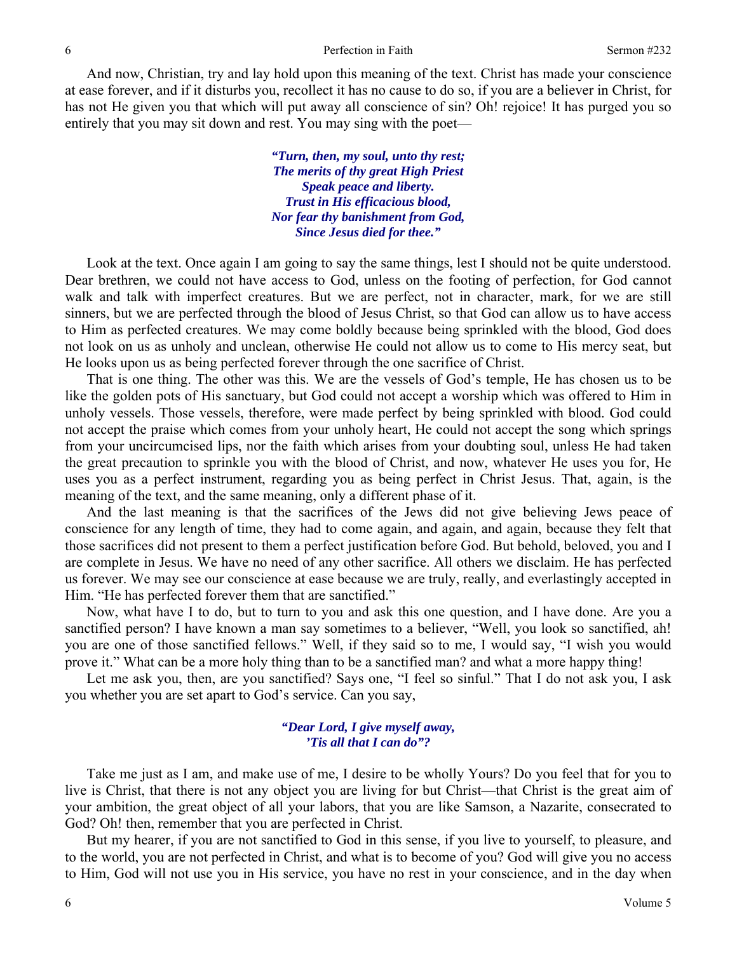And now, Christian, try and lay hold upon this meaning of the text. Christ has made your conscience at ease forever, and if it disturbs you, recollect it has no cause to do so, if you are a believer in Christ, for has not He given you that which will put away all conscience of sin? Oh! rejoice! It has purged you so entirely that you may sit down and rest. You may sing with the poet—

> *"Turn, then, my soul, unto thy rest; The merits of thy great High Priest Speak peace and liberty. Trust in His efficacious blood, Nor fear thy banishment from God, Since Jesus died for thee."*

Look at the text. Once again I am going to say the same things, lest I should not be quite understood. Dear brethren, we could not have access to God, unless on the footing of perfection, for God cannot walk and talk with imperfect creatures. But we are perfect, not in character, mark, for we are still sinners, but we are perfected through the blood of Jesus Christ, so that God can allow us to have access to Him as perfected creatures. We may come boldly because being sprinkled with the blood, God does not look on us as unholy and unclean, otherwise He could not allow us to come to His mercy seat, but He looks upon us as being perfected forever through the one sacrifice of Christ.

That is one thing. The other was this. We are the vessels of God's temple, He has chosen us to be like the golden pots of His sanctuary, but God could not accept a worship which was offered to Him in unholy vessels. Those vessels, therefore, were made perfect by being sprinkled with blood. God could not accept the praise which comes from your unholy heart, He could not accept the song which springs from your uncircumcised lips, nor the faith which arises from your doubting soul, unless He had taken the great precaution to sprinkle you with the blood of Christ, and now, whatever He uses you for, He uses you as a perfect instrument, regarding you as being perfect in Christ Jesus. That, again, is the meaning of the text, and the same meaning, only a different phase of it.

And the last meaning is that the sacrifices of the Jews did not give believing Jews peace of conscience for any length of time, they had to come again, and again, and again, because they felt that those sacrifices did not present to them a perfect justification before God. But behold, beloved, you and I are complete in Jesus. We have no need of any other sacrifice. All others we disclaim. He has perfected us forever. We may see our conscience at ease because we are truly, really, and everlastingly accepted in Him. "He has perfected forever them that are sanctified."

Now, what have I to do, but to turn to you and ask this one question, and I have done. Are you a sanctified person? I have known a man say sometimes to a believer, "Well, you look so sanctified, ah! you are one of those sanctified fellows." Well, if they said so to me, I would say, "I wish you would prove it." What can be a more holy thing than to be a sanctified man? and what a more happy thing!

Let me ask you, then, are you sanctified? Says one, "I feel so sinful." That I do not ask you, I ask you whether you are set apart to God's service. Can you say,

## *"Dear Lord, I give myself away, 'Tis all that I can do"?*

Take me just as I am, and make use of me, I desire to be wholly Yours? Do you feel that for you to live is Christ, that there is not any object you are living for but Christ—that Christ is the great aim of your ambition, the great object of all your labors, that you are like Samson, a Nazarite, consecrated to God? Oh! then, remember that you are perfected in Christ.

But my hearer, if you are not sanctified to God in this sense, if you live to yourself, to pleasure, and to the world, you are not perfected in Christ, and what is to become of you? God will give you no access to Him, God will not use you in His service, you have no rest in your conscience, and in the day when